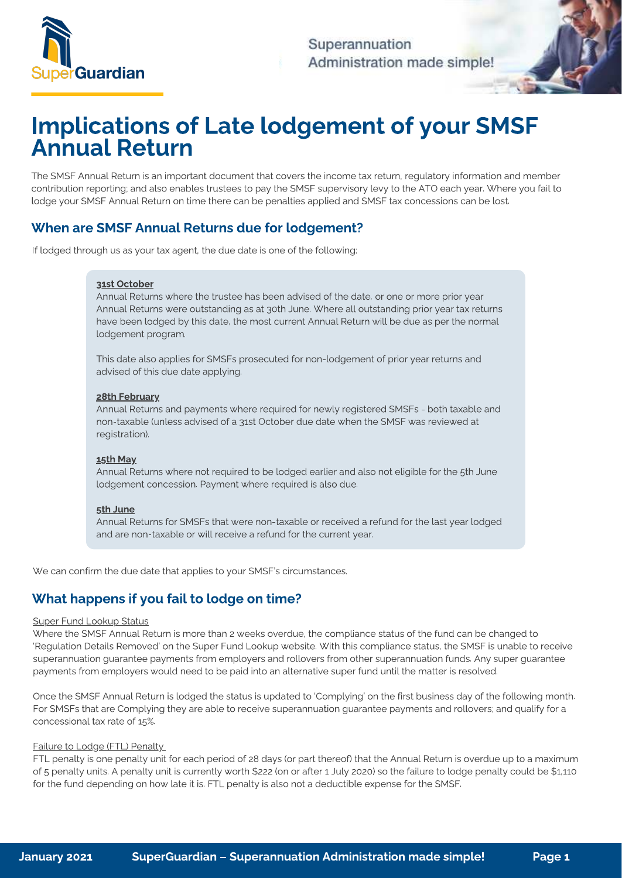

Superannuation Administration made simple!

# Implications of Late lodgement of your SMSF Annual Return

The SMSF Annual Return is an important document that covers the income tax return, regulatory information and member<br>contribution reporting; and also enables trustees to pay the SMSF supervisory levy to the ATO each year. lodge your SMSF Annual Return on time there can be penalties applied and SMSF tax concessions can be lost. lodge your SMSF Annual Return on time there can be penalties applied and SMSF tax concessions can be lost.

# When are SMSF Annual Returns due for lodgement?

If lodged through us as your tax agent, the due date is one of the following:

## 31st October

Annual Returns where the trustee has been advised of the date, or one or more prior year<br>Annual Returns were outstanding as at 30th June. Where all outstanding prior year tax returns  $\frac{1}{2}$  and  $\frac{1}{2}$  and  $\frac{1}{2}$  and  $\frac{1}{2}$  and  $\frac{1}{2}$  are  $\frac{1}{2}$  and  $\frac{1}{2}$  and  $\frac{1}{2}$  and  $\frac{1}{2}$  and  $\frac{1}{2}$  and  $\frac{1}{2}$  are  $\frac{1}{2}$  and  $\frac{1}{2}$  and  $\frac{1}{2}$  and  $\frac{1}{2}$  and  $\frac{1}{2}$  a have been lodged by this date, the most current Annual Return will be due as per the normal lodgement program.

This date also applies for SMSFs prosecuted for non-lodgement of prior year returns and advised of this due date applying. advised of this due date applying.

## 28th February

 $\frac{A}{A}$  and  $\frac{A}{B}$  and  $\frac{A}{B}$  and  $\frac{A}{B}$  and  $\frac{A}{B}$  registered  $\frac{A}{B}$  and  $\frac{A}{B}$  and  $\frac{A}{B}$  and  $\frac{A}{B}$  and  $\frac{A}{B}$  and  $\frac{A}{B}$  and  $\frac{A}{B}$  and  $\frac{A}{B}$  and  $\frac{A}{B}$  and  $\frac{A}{B}$  and  $\frac{$  $\frac{1}{\sqrt{2}}$ registration).

# 15th May

Andrew Concording Determined to be lodged to be lodged to the 5th June 10th June 10th June 10th June 10th June 10th June 10th June 10th June 10th June 10th June 10th June 10th June 10th June 10th June 10th June 10th June 1 lodgement concession. Payment where required is also due.

### 5th June

and are non-taxable or will receive a refund for the current year. and are non-taxable or will receive a refund for the current year.

We can confirm the due date that applies to your SMSF's circumstances.

# What happens if you fail to lodge on time?

Super Fund Lookup Status<br>Where the SMSF Annual Return is more than 2 weeks overdue, the compliance status of the fund can be changed to 'Regulation Details Removed' on the Super Fund Lookup website. With this compliance status, the SMSF is unable to receive superannuation guarantee payments from employers and rollovers from other superannuation funds. Any super guarantee  $\frac{1}{\sqrt{2}}$  superantee payments from employers and rollowers from  $\frac{1}{\sqrt{2}}$  superation fund  $\frac{1}{\sqrt{2}}$  superation fund  $\frac{1}{\sqrt{2}}$  superation fund  $\frac{1}{\sqrt{2}}$  superation fund  $\frac{1}{\sqrt{2}}$  superation fund  $\frac{1}{\sqrt{$ payments from employers would need to be paid into an alternative super fund until the matter is resolved.

Once the SMSF Annual Return is lodged the status is updated to 'Complying' on the first business day of the following month.<br>For SMSFs that are Complying they are able to receive superannuation guarantee payments and rollo  $\frac{1}{\sqrt{1-\frac{1}{\sqrt{1-\frac{1}{\sqrt{1-\frac{1}{\sqrt{1-\frac{1}{\sqrt{1-\frac{1}{\sqrt{1-\frac{1}{\sqrt{1-\frac{1}{\sqrt{1-\frac{1}{\sqrt{1-\frac{1}{\sqrt{1-\frac{1}{\sqrt{1-\frac{1}{\sqrt{1-\frac{1}{\sqrt{1-\frac{1}{\sqrt{1-\frac{1}{\sqrt{1-\frac{1}{\sqrt{1-\frac{1}{\sqrt{1-\frac{1}{\sqrt{1-\frac{1}{\sqrt{1-\frac{1}{\sqrt{1-\frac{1}{\sqrt{1-\frac{1}{\sqrt{1-\frac{1}{\sqrt{1-\frac{1}{\sqrt{1-\frac{1$ concessional tax rate of 15%.

Failure to Lodge (FTL) Penalty\_<br>FTL penalty is one penalty unit for each period of 28 days (or part thereof) that the Annual Return is overdue up to a maximum of 5 penalty units. A penalty unit is currently worth \$222 (on or after 1 July 2020) so the failure to lodge penalty could be \$1,110  $\overline{\phantom{a}}$  penalty units. A penalty unit is currently unit is currently unit is currently unit is currently  $\overline{\phantom{a}}$  for the function  $\overline{\phantom{a}}$  is currently to log and a deductible expense for the CMCE. for the fund depending on how late it is. FTL penalty is also not a deductible expense for the SMSF.